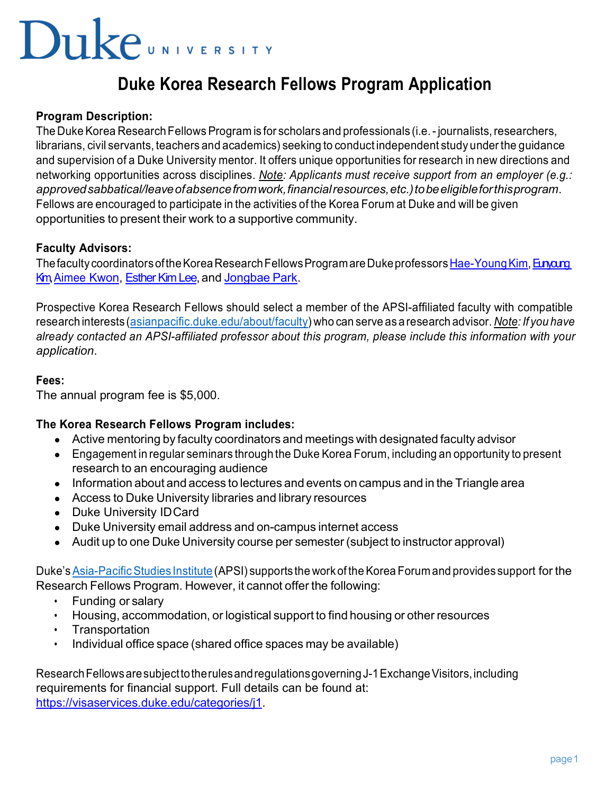# **Duke**UNIVERSITY

### **Duke Korea Research Fellows Program Application**

#### **Program Description:**

The Duke Korea Research Fellows Program is for scholars and professionals (i.e. - journalists, researchers, librarians, civil servants, teachers and academics) seeking to conduct independent study under the guidance and supervision of a Duke University mentor. It offers unique opportunities for research in new directions and networking opportunities across disciplines. *Note: Applicants must receive support from an employer (e.g.: approvedsabbatical/leaveofabsencefromwork,financialresources,etc.)tobeeligibleforthisprogram*. Fellows are encouraged to participate in the activities of the Korea Forum at Duke and will be given opportunities to present their work to a supportive community.

#### **Faculty Advisors:**

The faculty coordinators of the Korea Research Fellows Program are Duke professors Hae-Young Kim, Eunang Km Aimee Kwon, Esther Kim Lee, and Jongbae Park.

Prospective Korea Research Fellows should select a member of the APSI-affiliated faculty with compatible research interests (asianpacific.duke.edu/about/faculty) who can serve as a research advisor. *Note: If you have already contacted an APSI-affiliated professor about this program, please include this information with your application*.

#### **Fees:**

The annual program fee is \$5,000.

#### **The Korea Research Fellows Program includes:**

- Active mentoring by faculty coordinators and meetings with designated faculty advisor
- Engagement in regular seminars through the Duke Korea Forum, including an opportunity to present research to an encouraging audience
- Information about and access to lectures and events on campus and in the Triangle area
- Access to Duke University libraries and library resources
- Duke University IDCard
- Duke University email address and on-campus internet access
- Audit up to one Duke University course per semester (subject to instructor approval)

Duke's Asia-Pacific Studies Institute (APSI) supports the work of the Korea Forum and provides support for the Research Fellows Program. However, it cannot offer the following:

- Funding or salary
- Housing, accommodation, or logistical support to find housing or other resources
- Transportation
- Individual office space (shared office spaces may be available)

Research Fellows are subject to the rules and regulations governing J-1 Exchange Visitors, including requirements for financial support. Full details can be found at: https://visaservices.duke.edu/categories/j1.